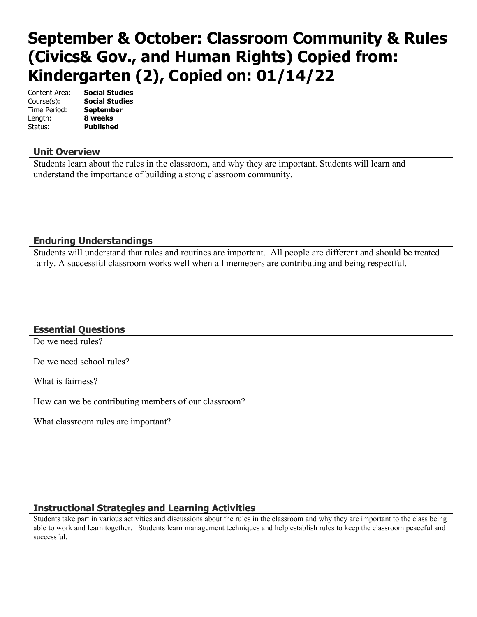# **September & October: Classroom Community & Rules (Civics& Gov., and Human Rights) Copied from: Kindergarten (2), Copied on: 01/14/22**

Content Area: **Social Studies** Course(s): **Social Studies** Time Period: **September** Length: **8 weeks** Status: **Published**

#### **Unit Overview**

Students learn about the rules in the classroom, and why they are important. Students will learn and understand the importance of building a stong classroom community.

#### **Enduring Understandings**

Students will understand that rules and routines are important. All people are different and should be treated fairly. A successful classroom works well when all memebers are contributing and being respectful.

# **Essential Questions**

Do we need rules?

Do we need school rules?

What is fairness?

How can we be contributing members of our classroom?

What classroom rules are important?

#### **Instructional Strategies and Learning Activities**

Students take part in various activities and discussions about the rules in the classroom and why they are important to the class being able to work and learn together. Students learn management techniques and help establish rules to keep the classroom peaceful and successful.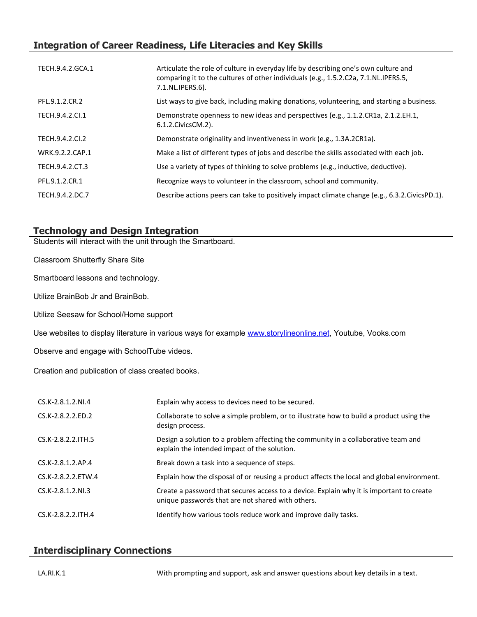# **Integration of Career Readiness, Life Literacies and Key Skills**

| TECH.9.4.2.GCA.1 | Articulate the role of culture in everyday life by describing one's own culture and<br>comparing it to the cultures of other individuals (e.g., 1.5.2.C2a, 7.1.NL.IPERS.5,<br>7.1.NL.IPERS.6). |
|------------------|------------------------------------------------------------------------------------------------------------------------------------------------------------------------------------------------|
| PFL.9.1.2.CR.2   | List ways to give back, including making donations, volunteering, and starting a business.                                                                                                     |
| TECH.9.4.2.CI.1  | Demonstrate openness to new ideas and perspectives (e.g., 1.1.2.CR1a, 2.1.2.EH.1,<br>6.1.2. Civics CM. 2).                                                                                     |
| TECH.9.4.2.CI.2  | Demonstrate originality and inventiveness in work (e.g., 1.3A.2CR1a).                                                                                                                          |
| WRK.9.2.2.CAP.1  | Make a list of different types of jobs and describe the skills associated with each job.                                                                                                       |
| TECH.9.4.2.CT.3  | Use a variety of types of thinking to solve problems (e.g., inductive, deductive).                                                                                                             |
| PFL.9.1.2.CR.1   | Recognize ways to volunteer in the classroom, school and community.                                                                                                                            |
| TECH.9.4.2.DC.7  | Describe actions peers can take to positively impact climate change (e.g., 6.3.2.CivicsPD.1).                                                                                                  |

## **Technology and Design Integration**

Students will interact with the unit through the Smartboard.

Classroom Shutterfly Share Site

Smartboard lessons and technology.

Utilize BrainBob Jr and BrainBob.

Utilize Seesaw for School/Home support

Use websites to display literature in various ways for example [www.storylineonline.net](http://www.storylineonline.net/), Youtube, Vooks.com

Observe and engage with SchoolTube videos.

Creation and publication of class created books.

| $CS.K-2.8.1.2.NI.4$  | Explain why access to devices need to be secured.                                                                                             |
|----------------------|-----------------------------------------------------------------------------------------------------------------------------------------------|
| CS.K-2.8.2.2.ED.2    | Collaborate to solve a simple problem, or to illustrate how to build a product using the<br>design process.                                   |
| CS.K-2.8.2.2.ITH.5   | Design a solution to a problem affecting the community in a collaborative team and<br>explain the intended impact of the solution.            |
| CS.K-2.8.1.2.AP.4    | Break down a task into a sequence of steps.                                                                                                   |
| CS.K-2.8.2.2.ETW.4   | Explain how the disposal of or reusing a product affects the local and global environment.                                                    |
| $CS.K-2.8.1.2.NI.3$  | Create a password that secures access to a device. Explain why it is important to create<br>unique passwords that are not shared with others. |
| $CS.K-2.8.2.2.1TH.4$ | Identify how various tools reduce work and improve daily tasks.                                                                               |

# **Interdisciplinary Connections**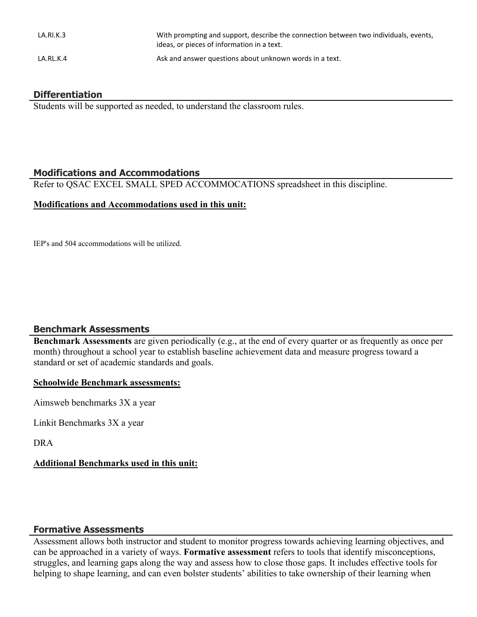| LA.RI.K.3 | With prompting and support, describe the connection between two individuals, events,<br>ideas, or pieces of information in a text. |
|-----------|------------------------------------------------------------------------------------------------------------------------------------|
| LA.RL.K.4 | Ask and answer questions about unknown words in a text.                                                                            |

## **Differentiation**

Students will be supported as needed, to understand the classroom rules.

## **Modifications and Accommodations**

Refer to QSAC EXCEL SMALL SPED ACCOMMOCATIONS spreadsheet in this discipline.

#### **Modifications and Accommodations used in this unit:**

IEP's and 504 accommodations will be utilized.

# **Benchmark Assessments**

**Benchmark Assessments** are given periodically (e.g., at the end of every quarter or as frequently as once per month) throughout a school year to establish baseline achievement data and measure progress toward a standard or set of academic standards and goals.

#### **Schoolwide Benchmark assessments:**

Aimsweb benchmarks 3X a year

Linkit Benchmarks 3X a year

DRA

#### **Additional Benchmarks used in this unit:**

#### **Formative Assessments**

Assessment allows both instructor and student to monitor progress towards achieving learning objectives, and can be approached in a variety of ways. **Formative assessment** refers to tools that identify misconceptions, struggles, and learning gaps along the way and assess how to close those gaps. It includes effective tools for helping to shape learning, and can even bolster students' abilities to take ownership of their learning when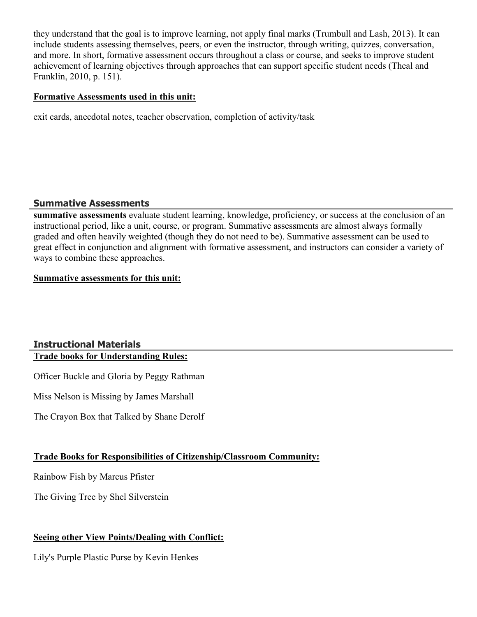they understand that the goal is to improve learning, not apply final marks (Trumbull and Lash, 2013). It can include students assessing themselves, peers, or even the instructor, through writing, quizzes, conversation, and more. In short, formative assessment occurs throughout a class or course, and seeks to improve student achievement of learning objectives through approaches that can support specific student needs (Theal and Franklin, 2010, p. 151).

#### **Formative Assessments used in this unit:**

exit cards, anecdotal notes, teacher observation, completion of activity/task

#### **Summative Assessments**

**summative assessments** evaluate student learning, knowledge, proficiency, or success at the conclusion of an instructional period, like a unit, course, or program. Summative assessments are almost always formally graded and often heavily weighted (though they do not need to be). Summative assessment can be used to great effect in conjunction and alignment with formative assessment, and instructors can consider a variety of ways to combine these approaches.

#### **Summative assessments for this unit:**

#### **Instructional Materials Trade books for Understanding Rules:**

Officer Buckle and Gloria by Peggy Rathman

Miss Nelson is Missing by James Marshall

The Crayon Box that Talked by Shane Derolf

# **Trade Books for Responsibilities of Citizenship/Classroom Community:**

Rainbow Fish by Marcus Pfister

The Giving Tree by Shel Silverstein

# **Seeing other View Points/Dealing with Conflict:**

Lily's Purple Plastic Purse by Kevin Henkes